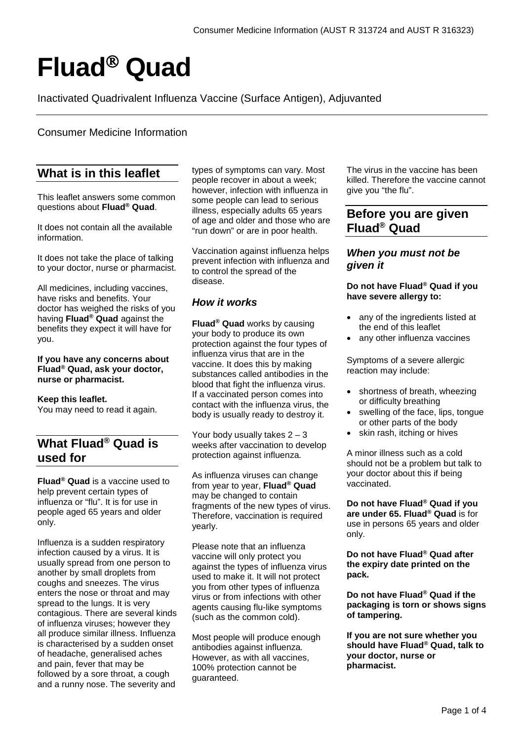# **Fluad Quad**

Inactivated Quadrivalent Influenza Vaccine (Surface Antigen), Adjuvanted

## Consumer Medicine Information

# **What is in this leaflet**

This leaflet answers some common questions about **Fluad® Quad**.

It does not contain all the available information.

It does not take the place of talking to your doctor, nurse or pharmacist.

All medicines, including vaccines, have risks and benefits. Your doctor has weighed the risks of you having **Fluad® Quad** against the benefits they expect it will have for you.

**If you have any concerns about Fluad® Quad, ask your doctor, nurse or pharmacist.**

## **Keep this leaflet.**

You may need to read it again.

# **What Fluad® Quad is used for**

**Fluad® Quad** is a vaccine used to help prevent certain types of influenza or "flu". It is for use in people aged 65 years and older only.

Influenza is a sudden respiratory infection caused by a virus. It is usually spread from one person to another by small droplets from coughs and sneezes. The virus enters the nose or throat and may spread to the lungs. It is very contagious. There are several kinds of influenza viruses; however they all produce similar illness. Influenza is characterised by a sudden onset of headache, generalised aches and pain, fever that may be followed by a sore throat, a cough and a runny nose. The severity and

types of symptoms can vary. Most people recover in about a week; however, infection with influenza in some people can lead to serious illness, especially adults 65 years of age and older and those who are "run down" or are in poor health.

Vaccination against influenza helps prevent infection with influenza and to control the spread of the disease.

## *How it works*

**Fluad® Quad** works by causing your body to produce its own protection against the four types of influenza virus that are in the vaccine. It does this by making substances called antibodies in the blood that fight the influenza virus. If a vaccinated person comes into contact with the influenza virus, the body is usually ready to destroy it.

Your body usually takes  $2 - 3$ weeks after vaccination to develop protection against influenza*.*

As influenza viruses can change from year to year, **Fluad® Quad** may be changed to contain fragments of the new types of virus. Therefore, vaccination is required yearly.

Please note that an influenza vaccine will only protect you against the types of influenza virus used to make it. It will not protect you from other types of influenza virus or from infections with other agents causing flu-like symptoms (such as the common cold).

Most people will produce enough antibodies against influenza*.* However, as with all vaccines, 100% protection cannot be guaranteed.

The virus in the vaccine has been killed. Therefore the vaccine cannot give you "the flu".

# **Before you are given Fluad® Quad**

## *When you must not be given it*

**Do not have Fluad® Quad if you have severe allergy to:**

- any of the ingredients listed at the end of this leaflet
- any other influenza vaccines

Symptoms of a severe allergic reaction may include:

- shortness of breath, wheezing or difficulty breathing
- swelling of the face, lips, tongue or other parts of the body
- skin rash, itching or hives

A minor illness such as a cold should not be a problem but talk to your doctor about this if being vaccinated.

**Do not have Fluad® Quad if you are under 65. Fluad® Quad** is for use in persons 65 years and older only.

**Do not have Fluad® Quad after the expiry date printed on the pack.**

**Do not have Fluad® Quad if the packaging is torn or shows signs of tampering.**

**If you are not sure whether you should have Fluad® Quad, talk to your doctor, nurse or pharmacist.**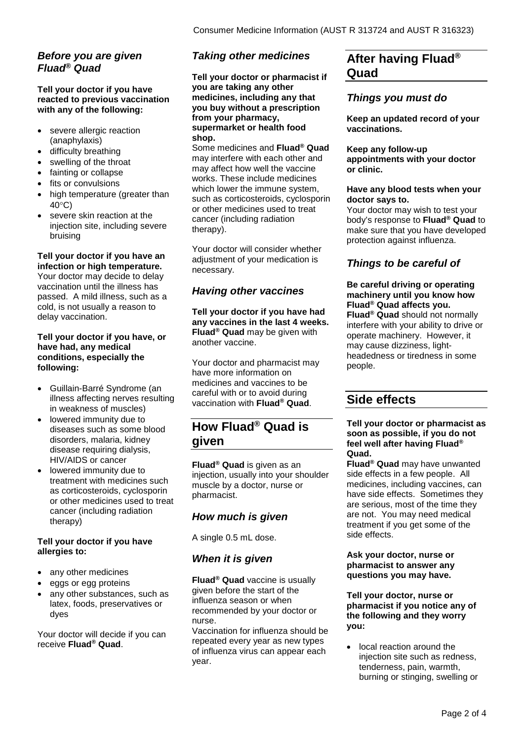# *Before you are given Fluad® Quad*

## **Tell your doctor if you have reacted to previous vaccination with any of the following:**

- severe allergic reaction (anaphylaxis)
- difficulty breathing
- swelling of the throat
- fainting or collapse
- fits or convulsions
- high temperature (greater than 40°C)
- severe skin reaction at the injection site, including severe bruising

#### **Tell your doctor if you have an infection or high temperature.**

Your doctor may decide to delay vaccination until the illness has passed. A mild illness, such as a cold, is not usually a reason to delay vaccination.

### **Tell your doctor if you have, or have had, any medical conditions, especially the following:**

- Guillain-Barré Syndrome (an illness affecting nerves resulting in weakness of muscles)
- lowered immunity due to diseases such as some blood disorders, malaria, kidney disease requiring dialysis, HIV/AIDS or cancer
- lowered immunity due to treatment with medicines such as corticosteroids, cyclosporin or other medicines used to treat cancer (including radiation therapy)

## **Tell your doctor if you have allergies to:**

- any other medicines
- eggs or egg proteins
- any other substances, such as latex, foods, preservatives or dyes

Your doctor will decide if you can receive **Fluad® Quad**.

# *Taking other medicines*

**Tell your doctor or pharmacist if you are taking any other medicines, including any that you buy without a prescription from your pharmacy, supermarket or health food shop.**

Some medicines and **Fluad® Quad** may interfere with each other and may affect how well the vaccine works. These include medicines which lower the immune system, such as corticosteroids, cyclosporin or other medicines used to treat cancer (including radiation therapy).

Your doctor will consider whether adjustment of your medication is necessary.

# *Having other vaccines*

**Tell your doctor if you have had any vaccines in the last 4 weeks. Fluad® Quad** may be given with another vaccine.

Your doctor and pharmacist may have more information on medicines and vaccines to be careful with or to avoid during vaccination with **Fluad® Quad**.

# **How Fluad® Quad is given**

**Fluad® Quad** is given as an injection, usually into your shoulder muscle by a doctor, nurse or pharmacist.

# *How much is given*

A single 0.5 mL dose.

# *When it is given*

**Fluad® Quad** vaccine is usually given before the start of the influenza season or when recommended by your doctor or nurse.

Vaccination for influenza should be repeated every year as new types of influenza virus can appear each year.

# **After having Fluad® Quad**

# *Things you must do*

**Keep an updated record of your vaccinations.**

#### **Keep any follow-up appointments with your doctor or clinic.**

## **Have any blood tests when your doctor says to.**

Your doctor may wish to test your body's response to **Fluad® Quad** to make sure that you have developed protection against influenza.

# *Things to be careful of*

**Be careful driving or operating machinery until you know how Fluad® Quad affects you. Fluad® Quad** should not normally interfere with your ability to drive or operate machinery. However, it may cause dizziness, lightheadedness or tiredness in some people.

# **Side effects**

#### **Tell your doctor or pharmacist as soon as possible, if you do not feel well after having Fluad® Quad.**

**Fluad® Quad** may have unwanted side effects in a few people. All medicines, including vaccines, can have side effects. Sometimes they are serious, most of the time they are not. You may need medical treatment if you get some of the side effects.

#### **Ask your doctor, nurse or pharmacist to answer any questions you may have.**

**Tell your doctor, nurse or pharmacist if you notice any of the following and they worry you:**

local reaction around the injection site such as redness, tenderness, pain, warmth, burning or stinging, swelling or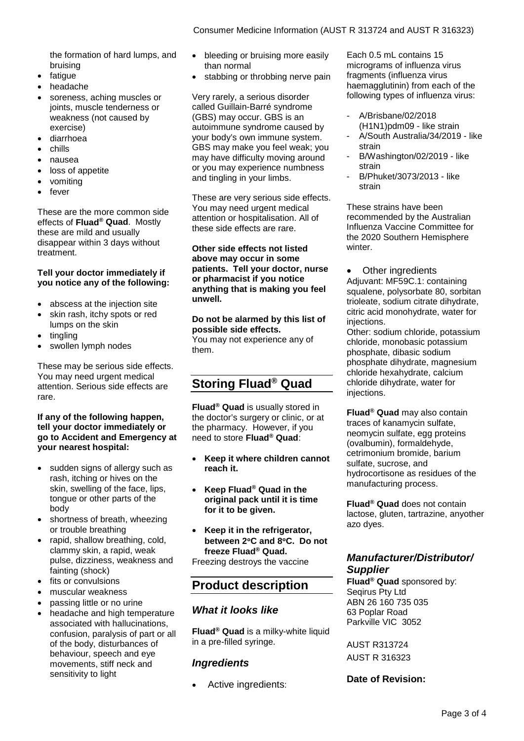the formation of hard lumps, and bruising

- fatigue
- headache
- soreness, aching muscles or joints, muscle tenderness or weakness (not caused by exercise)
- diarrhoea
- chills
- nausea
- loss of appetite
- vomiting
- fever

These are the more common side effects of **Fluad® Quad**. Mostly these are mild and usually disappear within 3 days without treatment.

#### **Tell your doctor immediately if you notice any of the following:**

- abscess at the injection site
- skin rash, itchy spots or red lumps on the skin
- tingling
- swollen lymph nodes

These may be serious side effects. You may need urgent medical attention. Serious side effects are rare.

### **If any of the following happen, tell your doctor immediately or go to Accident and Emergency at your nearest hospital:**

- sudden signs of allergy such as rash, itching or hives on the skin, swelling of the face, lips, tongue or other parts of the body
- shortness of breath, wheezing or trouble breathing
- rapid, shallow breathing, cold, clammy skin, a rapid, weak pulse, dizziness, weakness and fainting (shock)
- fits or convulsions
- muscular weakness
- passing little or no urine
- headache and high temperature associated with hallucinations, confusion, paralysis of part or all of the body, disturbances of behaviour, speech and eye movements, stiff neck and sensitivity to light
- bleeding or bruising more easily than normal
- stabbing or throbbing nerve pain

Very rarely, a serious disorder called Guillain-Barré syndrome (GBS) may occur. GBS is an autoimmune syndrome caused by your body's own immune system. GBS may make you feel weak; you may have difficulty moving around or you may experience numbness and tingling in your limbs.

These are very serious side effects. You may need urgent medical attention or hospitalisation. All of these side effects are rare.

**Other side effects not listed above may occur in some patients. Tell your doctor, nurse or pharmacist if you notice anything that is making you feel unwell.**

**Do not be alarmed by this list of possible side effects.** You may not experience any of them.

# **Storing Fluad® Quad**

**Fluad® Quad** is usually stored in the doctor's surgery or clinic, or at the pharmacy. However, if you need to store **Fluad® Quad**:

- **Keep it where children cannot reach it.**
- **Keep Fluad® Quad in the original pack until it is time for it to be given.**
- **Keep it in the refrigerator, between 2**°**C and 8**°**C. Do not freeze Fluad® Quad.** Freezing destroys the vaccine

# **Product description**

## *What it looks like*

**Fluad® Quad** is a milky-white liquid in a pre-filled syringe.

## *Ingredients*

Active ingredients:

Each 0.5 mL contains 15 micrograms of influenza virus fragments (influenza virus haemagglutinin) from each of the following types of influenza virus:

- A/Brisbane/02/2018 (H1N1)pdm09 - like strain
- A/South Australia/34/2019 like strain
- B/Washington/02/2019 like strain
- B/Phuket/3073/2013 like strain

These strains have been recommended by the Australian Influenza Vaccine Committee for the 2020 Southern Hemisphere winter.

• Other ingredients Adjuvant: MF59C.1: containing squalene, polysorbate 80, sorbitan trioleate, sodium citrate dihydrate, citric acid monohydrate, water for injections.

Other: sodium chloride, potassium chloride, monobasic potassium phosphate, dibasic sodium phosphate dihydrate, magnesium chloride hexahydrate, calcium chloride dihydrate, water for injections.

**Fluad® Quad** may also contain traces of kanamycin sulfate, neomycin sulfate, egg proteins (ovalbumin), formaldehyde, cetrimonium bromide, barium sulfate, sucrose, and hydrocortisone as residues of the manufacturing process.

**Fluad® Quad** does not contain lactose, gluten, tartrazine, anyother azo dyes.

## *Manufacturer/Distributor/ Supplier*

**Fluad® Quad** sponsored by: Seqirus Pty Ltd ABN 26 160 735 035 63 Poplar Road Parkville VIC 3052

AUST R313724 AUST R 316323

## **Date of Revision:**